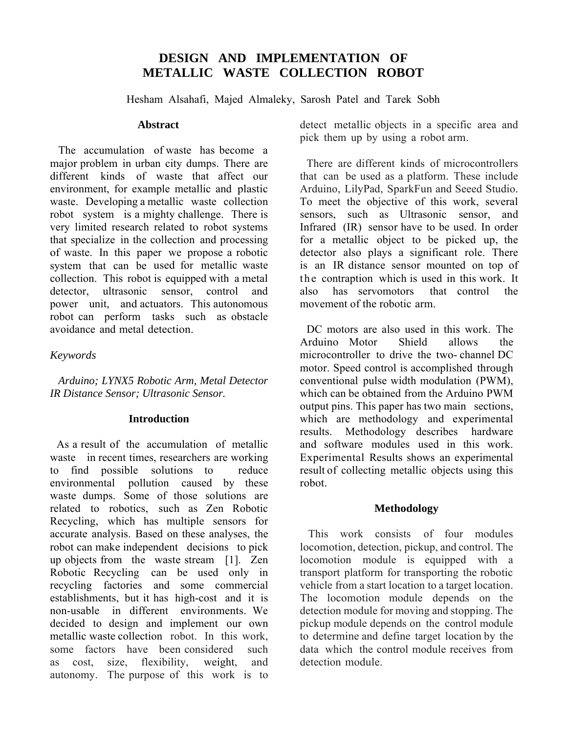# **DESIGN AND IMPLEMENTATION OF METALLIC WASTE COLLECTION ROBOT**

Hesham Alsahafi, Majed Almaleky, Sarosh Patel and Tarek Sobh

### **Abstract**

The accumulation of waste has become a major problem in urban city dumps. There are different kinds of waste that affect our environment, for example metallic and plastic waste. Developing a metallic waste collection robot system is a mighty challenge. There is very limited research related to robot systems that specialize in the collection and processing of waste. In this paper we propose a robotic system that can be used for metallic waste collection. This robot is equipped with a metal detector, ultrasonic sensor, control and power unit, and actuators. This autonomous robot can perform tasks such as obstacle avoidance and metal detection.

## *Keywords*

*Arduino; LYNX5 Robotic Arm, Metal Detector IR Distance Sensor; Ultrasonic Sensor.* 

## **Introduction**

As a result of the accumulation of metallic waste in recent times, researchers are working to find possible solutions to reduce environmental pollution caused by these waste dumps. Some of those solutions are related to robotics, such as Zen Robotic Recycling, which has multiple sensors for accurate analysis. Based on these analyses, the robot can make independent decisions to pick up objects from the waste stream [1]. Zen Robotic Recycling can be used only in recycling factories and some commercial establishments, but it has high-cost and it is non-usable in different environments. We decided to design and implement our own metallic waste collection robot. In this work, some factors have been considered such as cost, size, flexibility, weight, and autonomy. The purpose of this work is to

detect metallic objects in a specific area and pick them up by using a robot arm.

There are different kinds of microcontrollers that can be used as a platform. These include Arduino, LilyPad, SparkFun and Seeed Studio. To meet the objective of this work, several sensors, such as Ultrasonic sensor, and Infrared (IR) sensor have to be used. In order for a metallic object to be picked up, the detector also plays a significant role. There is an IR distance sensor mounted on top of the contraption which is used in this work. It also has servomotors that control the movement of the robotic arm.

DC motors are also used in this work. The Arduino Motor Shield allows the microcontroller to drive the two- channel DC motor. Speed control is accomplished through conventional pulse width modulation (PWM), which can be obtained from the Arduino PWM output pins. This paper has two main sections, which are methodology and experimental results. Methodology describes hardware and software modules used in this work. Experimental Results shows an experimental result of collecting metallic objects using this robot.

## **Methodology**

This work consists of four modules locomotion, detection, pickup, and control. The locomotion module is equipped with a transport platform for transporting the robotic vehicle from a start location to a target location. The locomotion module depends on the detection module for moving and stopping. The pickup module depends on the control module to determine and define target location by the data which the control module receives from detection module.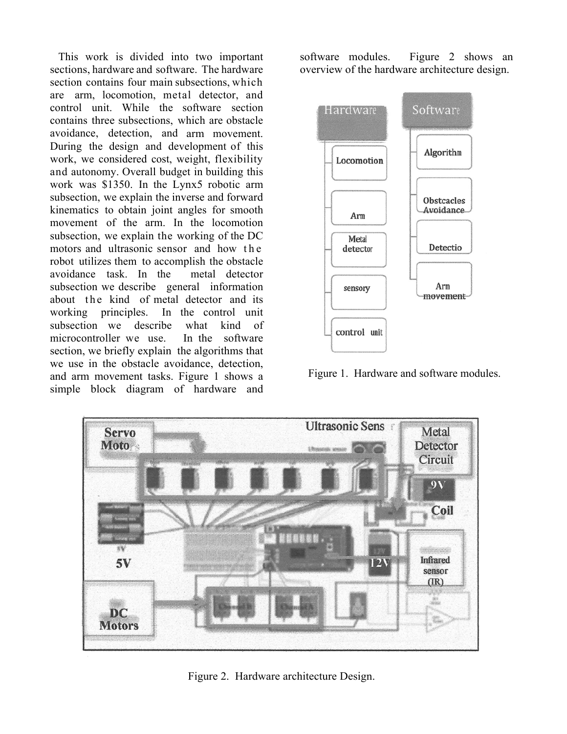This work is divided into two important sections, hardware and software. The hardware section contains four main subsections, which are arm, locomotion, metal detector, and control unit. While the software section contains three subsections, which are obstacle avoidance, detection, and arm movement. During the design and development of this work, we considered cost, weight, flexibility and autonomy. Overall budget in building this work was \$1350. In the Lynx5 robotic arm subsection, we explain the inverse and forward kinematics to obtain joint angles for smooth movement of the arm. In the locomotion subsection, we explain the working of the DC motors and ultrasonic sensor and how the robot utilizes them to accomplish the obstacle avoidance task. In the metal detector subsection we describe general information about the kind of metal detector and its working principles. In the control unit subsection we describe what kind of microcontroller we use. In the software section, we briefly explain the algorithms that we use in the obstacle avoidance, detection, and arm movement tasks. Figure 1 shows a simple block diagram of hardware and software modules. Figure 2 shows an overview of the hardware architecture design.



Figure 1. Hardware and software modules.



Figure 2. Hardware architecture Design.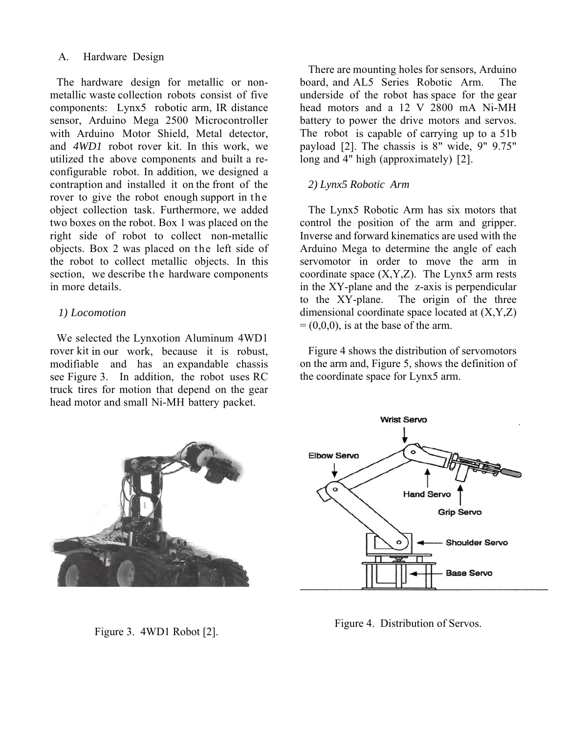### A. Hardware Design

The hardware design for metallic or nonmetallic waste collection robots consist of five components: Lynx5 robotic arm, IR distance sensor, Arduino Mega 2500 Microcontroller with Arduino Motor Shield, Metal detector, and *4WD1* robot rover kit. In this work, we utilized the above components and built a reconfigurable robot. In addition, we designed a contraption and installed it on the front of the rover to give the robot enough support in the object collection task. Furthermore, we added two boxes on the robot. Box 1 was placed on the right side of robot to collect non-metallic objects. Box 2 was placed on the left side of the robot to collect metallic objects. In this section, we describe the hardware components in more details.

## *1) Locomotion*

We selected the Lynxotion Aluminum 4WD1 rover kit in our work, because it is robust, modifiable and has an expandable chassis see Figure 3. In addition, the robot uses RC truck tires for motion that depend on the gear head motor and small Ni-MH battery packet.

There are mounting holes for sensors, Arduino board, and AL5 Series Robotic Arm. The underside of the robot has space for the gear head motors and a 12 V 2800 mA Ni-MH battery to power the drive motors and servos. The robot is capable of carrying up to a 51b payload [2]. The chassis is 8" wide, 9" 9.75" long and 4" high (approximately) [2].

## *2) Lynx5 Robotic Arm*

The Lynx5 Robotic Arm has six motors that control the position of the arm and gripper. Inverse and forward kinematics are used with the Arduino Mega to determine the angle of each servomotor in order to move the arm in coordinate space  $(X, Y, Z)$ . The Lynx5 arm rests in the XY-plane and the z-axis is perpendicular to the XY-plane. The origin of the three dimensional coordinate space located at (X,Y,Z)  $=(0,0,0)$ , is at the base of the arm.

Figure 4 shows the distribution of servomotors on the arm and, Figure 5, shows the definition of the coordinate space for Lynx5 arm.



Figure 3. 4WD1 Robot [2].



Figure 4. Distribution of Servos.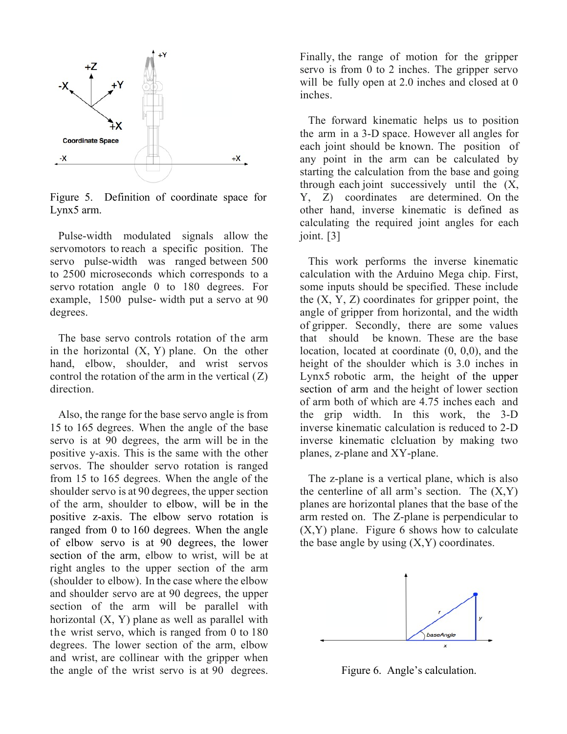

Figure 5. Definition of coordinate space for Lynx5 arm.

Pulse-width modulated signals allow the servomotors to reach a specific position. The servo pulse-width was ranged between 500 to 2500 microseconds which corresponds to a servo rotation angle 0 to 180 degrees. For example, 1500 pulse- width put a servo at 90 degrees.

The base servo controls rotation of the arm in the horizontal  $(X, Y)$  plane. On the other hand, elbow, shoulder, and wrist servos control the rotation of the arm in the vertical  $(Z)$ direction.

Also, the range for the base servo angle is from 15 to 165 degrees. When the angle of the base servo is at 90 degrees, the arm will be in the positive y-axis. This is the same with the other servos. The shoulder servo rotation is ranged from 15 to 165 degrees. When the angle of the shoulder servo is at 90 degrees, the upper section of the arm, shoulder to elbow, will be in the positive z-axis. The elbow servo rotation is ranged from 0 to 160 degrees. When the angle of elbow servo is at 90 degrees, the lower section of the arm, elbow to wrist, will be at right angles to the upper section of the arm (shoulder to elbow). In the case where the elbow and shoulder servo are at 90 degrees, the upper section of the arm will be parallel with horizontal (X, Y) plane as well as parallel with the wrist servo, which is ranged from 0 to 180 degrees. The lower section of the arm, elbow and wrist, are collinear with the gripper when the angle of the wrist servo is at 90 degrees. Finally, the range of motion for the gripper servo is from 0 to 2 inches. The gripper servo will be fully open at 2.0 inches and closed at 0 inches.

The forward kinematic helps us to position the arm in a 3-D space. However all angles for each joint should be known. The position of any point in the arm can be calculated by starting the calculation from the base and going through each joint successively until the (X, Y, Z) coordinates are determined. On the other hand, inverse kinematic is defined as calculating the required joint angles for each joint. [3]

This work performs the inverse kinematic calculation with the Arduino Mega chip. First, some inputs should be specified. These include the  $(X, Y, Z)$  coordinates for gripper point, the angle of gripper from horizontal, and the width of gripper. Secondly, there are some values that should be known. These are the base location, located at coordinate (0, 0,0), and the height of the shoulder which is 3.0 inches in Lynx5 robotic arm, the height of the upper section of arm and the height of lower section of arm both of which are 4.75 inches each and the grip width. In this work, the 3-D inverse kinematic calculation is reduced to 2-D inverse kinematic clcluation by making two planes, z-plane and XY-plane.

The z-plane is a vertical plane, which is also the centerline of all arm's section. The  $(X, Y)$ planes are horizontal planes that the base of the arm rested on. The Z-plane is perpendicular to  $(X, Y)$  plane. Figure 6 shows how to calculate the base angle by using  $(X, Y)$  coordinates.



Figure 6. Angle's calculation.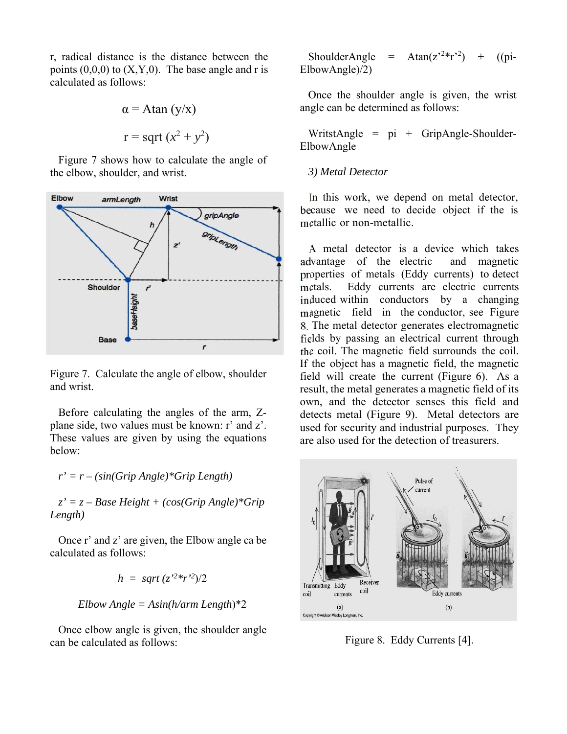r, radical distance is the distance between the points  $(0,0,0)$  to  $(X,Y,0)$ . The base angle and r is calculated as follows:

$$
\alpha = \text{Atan} (y/x)
$$

$$
r = \text{sqrt} (x^2 + y^2)
$$

Figure 7 shows how to calculate the angle of the elbow, shoulder, and wrist.



Figure 7. Calculate the angle of elbow, shoulder and wrist.

Before calculating the angles of the arm, Zplane side, two values must be known: r' and z'. These values are given by using the equations below:

*r' = r – (sin(Grip Angle)\*Grip Length)* 

 *z' = z – Base Height + (cos(Grip Angle)\*Grip Length)* 

Once r' and z' are given, the Elbow angle ca be calculated as follows:

$$
h = \sqrt{2^2 * r^2/2}
$$

*Elbow Angle = Asin(h/arm Length*)\*2

Once elbow angle is given, the shoulder angle can be calculated as follows:

 $ShoulderAngle$ = Atan( $z^{2*}r^{2}$ )  $((pi-)$ ElbowAngle)/2)

Once the shoulder angle is given, the wrist angle can be determined as follows:

WritstAngle =  $pi + GripAngle-Shoulder-$ ElbowAngle

### *3) Metal Detector*

In this work, we depend on metal detector, because we need to decide object if the is metallic or non-metallic.

A metal detector is a device which takes advantage of the electric and magnetic properties of metals (Eddy currents) to detect metals. Eddy currents are electric currents induced within conductors by a changing magnetic field in the conductor, see Figure 8. The metal detector generates electromagnetic fields by passing an electrical current through the coil. The magnetic field surrounds the coil. If the object has a magnetic field, the magnetic field will create the current (Figure 6). As a result, the metal generates a magnetic field of its own, and the detector senses this field and detects metal (Figure 9). Metal detectors are used for security and industrial purposes. They are also used for the detection of treasurers.



Figure 8. Eddy Currents [4].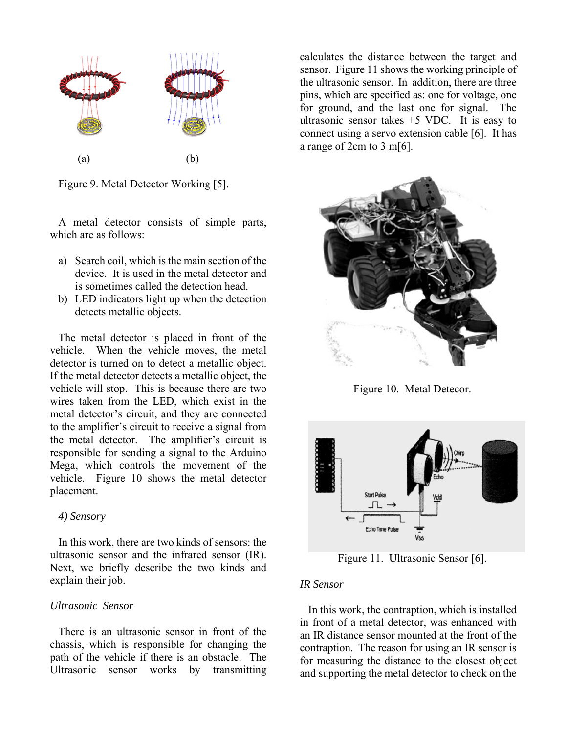

Figure 9. Metal Detector Working [5].

A metal detector consists of simple parts, which are as follows:

- a) Search coil, which is the main section of the device. It is used in the metal detector and is sometimes called the detection head.
- b) LED indicators light up when the detection detects metallic objects.

The metal detector is placed in front of the vehicle. When the vehicle moves, the metal detector is turned on to detect a metallic object. If the metal detector detects a metallic object, the vehicle will stop. This is because there are two wires taken from the LED, which exist in the metal detector's circuit, and they are connected to the amplifier's circuit to receive a signal from the metal detector. The amplifier's circuit is responsible for sending a signal to the Arduino Mega, which controls the movement of the vehicle. Figure 10 shows the metal detector placement.

#### *4) Sensory*

In this work, there are two kinds of sensors: the ultrasonic sensor and the infrared sensor (IR). Next, we briefly describe the two kinds and explain their job.

#### *Ultrasonic Sensor*

There is an ultrasonic sensor in front of the chassis, which is responsible for changing the path of the vehicle if there is an obstacle. The Ultrasonic sensor works by transmitting calculates the distance between the target and sensor. Figure 11 shows the working principle of the ultrasonic sensor. In addition, there are three pins, which are specified as: one for voltage, one for ground, and the last one for signal. The ultrasonic sensor takes  $+5$  VDC. It is easy to connect using a servo extension cable [6]. It has a range of 2cm to 3 m[6].



Figure 10. Metal Detecor.



Figure 11. Ultrasonic Sensor [6].

#### *IR Sensor*

In this work, the contraption, which is installed in front of a metal detector, was enhanced with an IR distance sensor mounted at the front of the contraption. The reason for using an IR sensor is for measuring the distance to the closest object and supporting the metal detector to check on the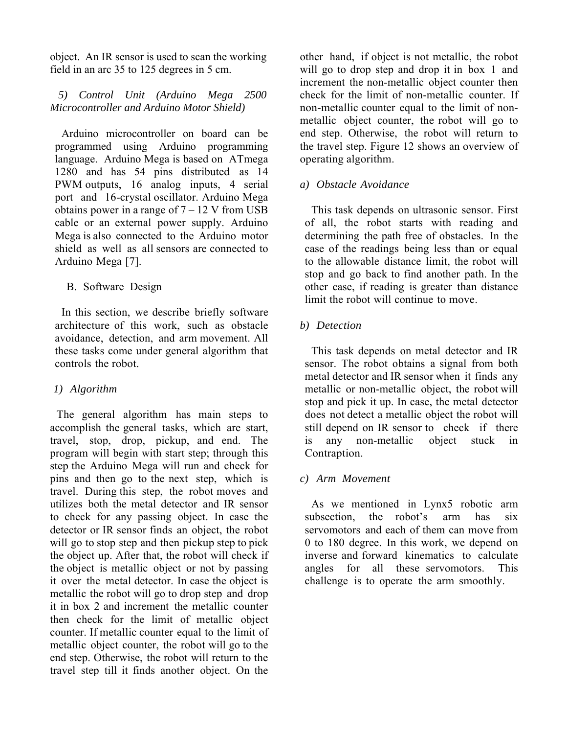object. An IR sensor is used to scan the working field in an arc 35 to 125 degrees in 5 cm.

## *5) Control Unit (Arduino Mega 2500 Microcontroller and Arduino Motor Shield)*

Arduino microcontroller on board can be programmed using Arduino programming language. Arduino Mega is based on ATmega 1280 and has 54 pins distributed as 14 PWM outputs, 16 analog inputs, 4 serial port and 16-crystal oscillator. Arduino Mega obtains power in a range of  $7 - 12$  V from USB cable or an external power supply. Arduino Mega is also connected to the Arduino motor shield as well as all sensors are connected to Arduino Mega [7].

B. Software Design

In this section, we describe briefly software architecture of this work, such as obstacle avoidance, detection, and arm movement. All these tasks come under general algorithm that controls the robot.

## *1) Algorithm*

The general algorithm has main steps to accomplish the general tasks, which are start, travel, stop, drop, pickup, and end. The program will begin with start step; through this step the Arduino Mega will run and check for pins and then go to the next step, which is travel. During this step, the robot moves and utilizes both the metal detector and IR sensor to check for any passing object. In case the detector or IR sensor finds an object, the robot will go to stop step and then pickup step to pick the object up. After that, the robot will check if the object is metallic object or not by passing it over the metal detector. In case the object is metallic the robot will go to drop step and drop it in box 2 and increment the metallic counter then check for the limit of metallic object counter. If metallic counter equal to the limit of metallic object counter, the robot will go to the end step. Otherwise, the robot will return to the travel step till it finds another object. On the

other hand, if object is not metallic, the robot will go to drop step and drop it in box 1 and increment the non-metallic object counter then check for the limit of non-metallic counter. If non-metallic counter equal to the limit of nonmetallic object counter, the robot will go to end step. Otherwise, the robot will return to the travel step. Figure 12 shows an overview of operating algorithm.

## *a) Obstacle Avoidance*

This task depends on ultrasonic sensor. First of all, the robot starts with reading and determining the path free of obstacles. In the case of the readings being less than or equal to the allowable distance limit, the robot will stop and go back to find another path. In the other case, if reading is greater than distance limit the robot will continue to move.

## *b) Detection*

This task depends on metal detector and IR sensor. The robot obtains a signal from both metal detector and IR sensor when it finds any metallic or non-metallic object, the robot will stop and pick it up. In case, the metal detector does not detect a metallic object the robot will still depend on IR sensor to check if there is any non-metallic object stuck in Contraption.

## *c) Arm Movement*

As we mentioned in Lynx5 robotic arm subsection, the robot's arm has six servomotors and each of them can move from 0 to 180 degree. In this work, we depend on inverse and forward kinematics to calculate angles for all these servomotors. This challenge is to operate the arm smoothly.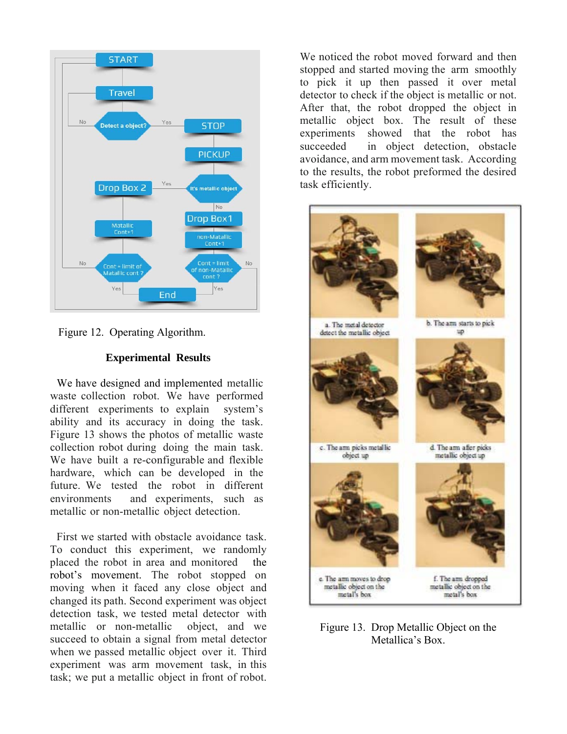



## **Experimental Results**

We have designed and implemented metallic waste collection robot. We have performed different experiments to explain system's ability and its accuracy in doing the task. Figure 13 shows the photos of metallic waste collection robot during doing the main task. We have built a re-configurable and flexible hardware, which can be developed in the future. We tested the robot in different environments and experiments, such as metallic or non-metallic object detection.

First we started with obstacle avoidance task. To conduct this experiment, we randomly placed the robot in area and monitored the robot's movement. The robot stopped on moving when it faced any close object and changed its path. Second experiment was object detection task, we tested metal detector with metallic or non-metallic object, and we succeed to obtain a signal from metal detector when we passed metallic object over it. Third experiment was arm movement task, in this task; we put a metallic object in front of robot.

We noticed the robot moved forward and then stopped and started moving the arm smoothly to pick it up then passed it over metal detector to check if the object is metallic or not. After that, the robot dropped the object in metallic object box. The result of these experiments showed that the robot has succeeded in object detection, obstacle avoidance, and arm movement task. According to the results, the robot preformed the desired task efficiently.



Figure 13. Drop Metallic Object on the Metallica's Box.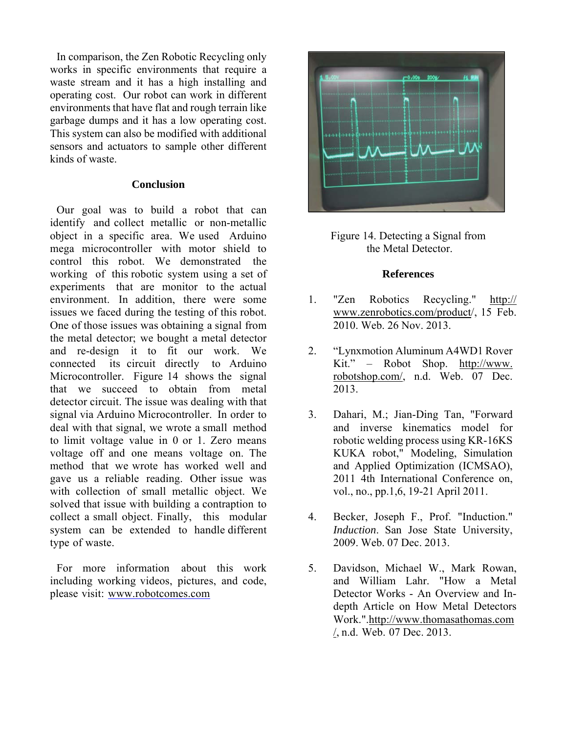In comparison, the Zen Robotic Recycling only works in specific environments that require a waste stream and it has a high installing and operating cost. Our robot can work in different environments that have flat and rough terrain like garbage dumps and it has a low operating cost. This system can also be modified with additional sensors and actuators to sample other different kinds of waste.

### **Conclusion**

Our goal was to build a robot that can identify and collect metallic or non-metallic object in a specific area. We used Arduino mega microcontroller with motor shield to control this robot. We demonstrated the working of this robotic system using a set of experiments that are monitor to the actual environment. In addition, there were some issues we faced during the testing of this robot. One of those issues was obtaining a signal from the metal detector; we bought a metal detector and re-design it to fit our work. We connected its circuit directly to Arduino Microcontroller. Figure 14 shows the signal that we succeed to obtain from metal detector circuit. The issue was dealing with that signal via Arduino Microcontroller. In order to deal with that signal, we wrote a small method to limit voltage value in 0 or 1. Zero means voltage off and one means voltage on. The method that we wrote has worked well and gave us a reliable reading. Other issue was with collection of small metallic object. We solved that issue with building a contraption to collect a small object. Finally, this modular system can be extended to handle different type of waste.

For more information about this work including working videos, pictures, and code, please visit: www.robotcomes.com



Figure 14. Detecting a Signal from the Metal Detector.

### **References**

- 1. "Zen Robotics Recycling." http:// www.zenrobotics.com/product/, 15 Feb. 2010. Web. 26 Nov. 2013.
- 2. "Lynxmotion Aluminum A4WD1 Rover Kit." – Robot Shop. http://www. robotshop.com/, n.d. Web. 07 Dec. 2013.
- 3. Dahari, M.; Jian-Ding Tan, "Forward and inverse kinematics model for robotic welding process using KR-16KS KUKA robot," Modeling, Simulation and Applied Optimization (ICMSAO), 2011 4th International Conference on, vol., no., pp.1,6, 19-21 April 2011.
- 4. Becker, Joseph F., Prof. "Induction." *Induction*. San Jose State University, 2009. Web. 07 Dec. 2013.
- 5. Davidson, Michael W., Mark Rowan, and William Lahr. "How a Metal Detector Works - An Overview and Indepth Article on How Metal Detectors Work.".http://www.thomasathomas.com /, n.d. Web. 07 Dec. 2013.